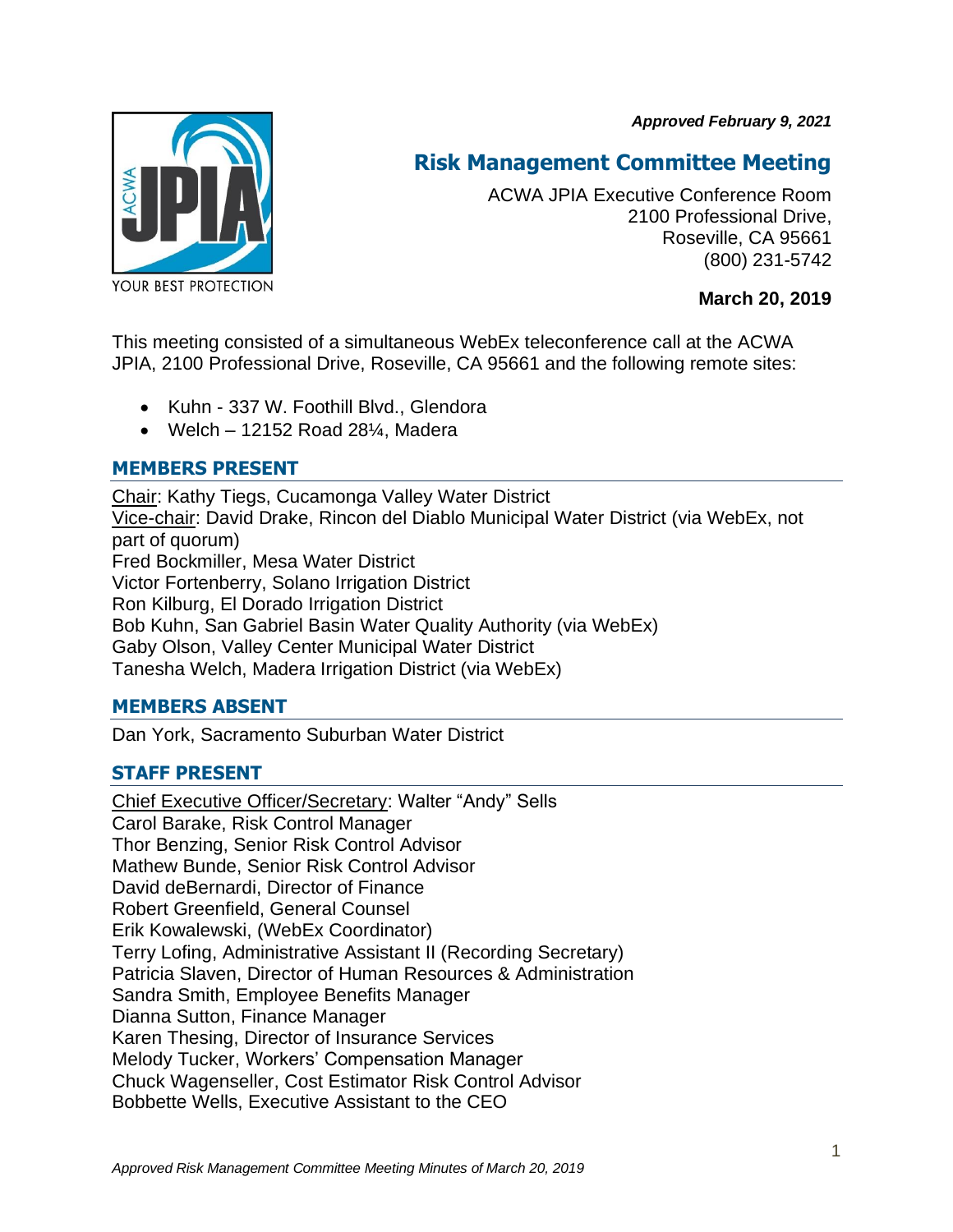*Approved February 9, 2021*



# **Risk Management Committee Meeting**

ACWA JPIA Executive Conference Room 2100 Professional Drive, Roseville, CA 95661 (800) 231-5742

**March 20, 2019**

This meeting consisted of a simultaneous WebEx teleconference call at the ACWA JPIA, 2100 Professional Drive, Roseville, CA 95661 and the following remote sites:

- Kuhn 337 W. Foothill Blvd., Glendora
- Welch  $-12152$  Road 28 $\frac{1}{4}$ . Madera

# **MEMBERS PRESENT**

Chair: Kathy Tiegs, Cucamonga Valley Water District Vice-chair: David Drake, Rincon del Diablo Municipal Water District (via WebEx, not part of quorum) Fred Bockmiller, Mesa Water District Victor Fortenberry, Solano Irrigation District Ron Kilburg, El Dorado Irrigation District Bob Kuhn, San Gabriel Basin Water Quality Authority (via WebEx) Gaby Olson, Valley Center Municipal Water District Tanesha Welch, Madera Irrigation District (via WebEx)

# **MEMBERS ABSENT**

Dan York, Sacramento Suburban Water District

# **STAFF PRESENT**

Chief Executive Officer/Secretary: Walter "Andy" Sells Carol Barake, Risk Control Manager Thor Benzing, Senior Risk Control Advisor Mathew Bunde, Senior Risk Control Advisor David deBernardi, Director of Finance Robert Greenfield, General Counsel Erik Kowalewski, (WebEx Coordinator) Terry Lofing, Administrative Assistant II (Recording Secretary) Patricia Slaven, Director of Human Resources & Administration Sandra Smith, Employee Benefits Manager Dianna Sutton, Finance Manager Karen Thesing, Director of Insurance Services Melody Tucker, Workers' Compensation Manager Chuck Wagenseller, Cost Estimator Risk Control Advisor Bobbette Wells, Executive Assistant to the CEO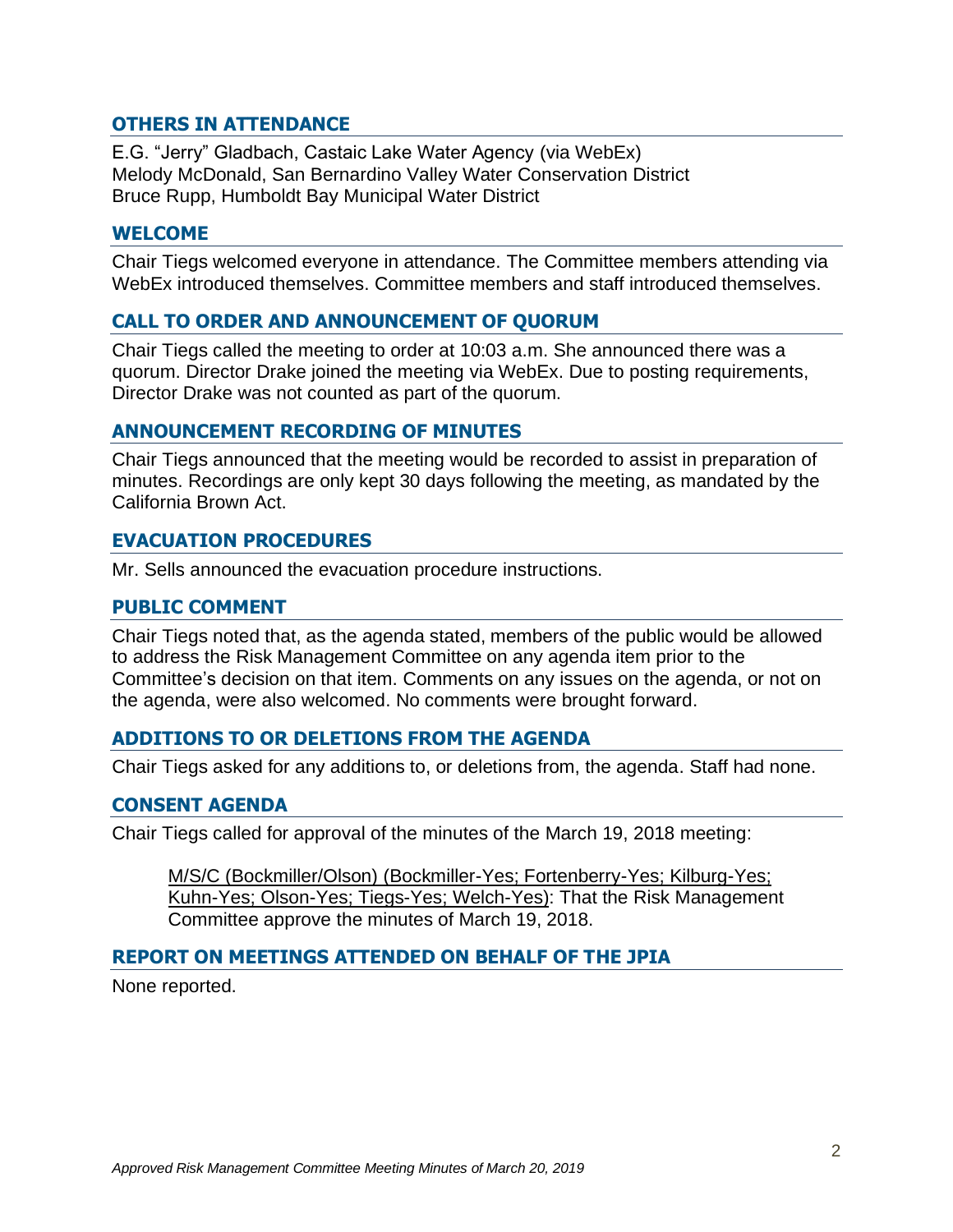#### **OTHERS IN ATTENDANCE**

E.G. "Jerry" Gladbach, Castaic Lake Water Agency (via WebEx) Melody McDonald, San Bernardino Valley Water Conservation District Bruce Rupp, Humboldt Bay Municipal Water District

#### **WELCOME**

Chair Tiegs welcomed everyone in attendance. The Committee members attending via WebEx introduced themselves. Committee members and staff introduced themselves.

# **CALL TO ORDER AND ANNOUNCEMENT OF QUORUM**

Chair Tiegs called the meeting to order at 10:03 a.m. She announced there was a quorum. Director Drake joined the meeting via WebEx. Due to posting requirements, Director Drake was not counted as part of the quorum.

#### **ANNOUNCEMENT RECORDING OF MINUTES**

Chair Tiegs announced that the meeting would be recorded to assist in preparation of minutes. Recordings are only kept 30 days following the meeting, as mandated by the California Brown Act.

#### **EVACUATION PROCEDURES**

Mr. Sells announced the evacuation procedure instructions.

#### **PUBLIC COMMENT**

Chair Tiegs noted that, as the agenda stated, members of the public would be allowed to address the Risk Management Committee on any agenda item prior to the Committee's decision on that item. Comments on any issues on the agenda, or not on the agenda, were also welcomed. No comments were brought forward.

#### **ADDITIONS TO OR DELETIONS FROM THE AGENDA**

Chair Tiegs asked for any additions to, or deletions from, the agenda. Staff had none.

#### **CONSENT AGENDA**

Chair Tiegs called for approval of the minutes of the March 19, 2018 meeting:

M/S/C (Bockmiller/Olson) (Bockmiller-Yes; Fortenberry-Yes; Kilburg-Yes; Kuhn-Yes; Olson-Yes; Tiegs-Yes; Welch-Yes): That the Risk Management Committee approve the minutes of March 19, 2018.

# **REPORT ON MEETINGS ATTENDED ON BEHALF OF THE JPIA**

None reported.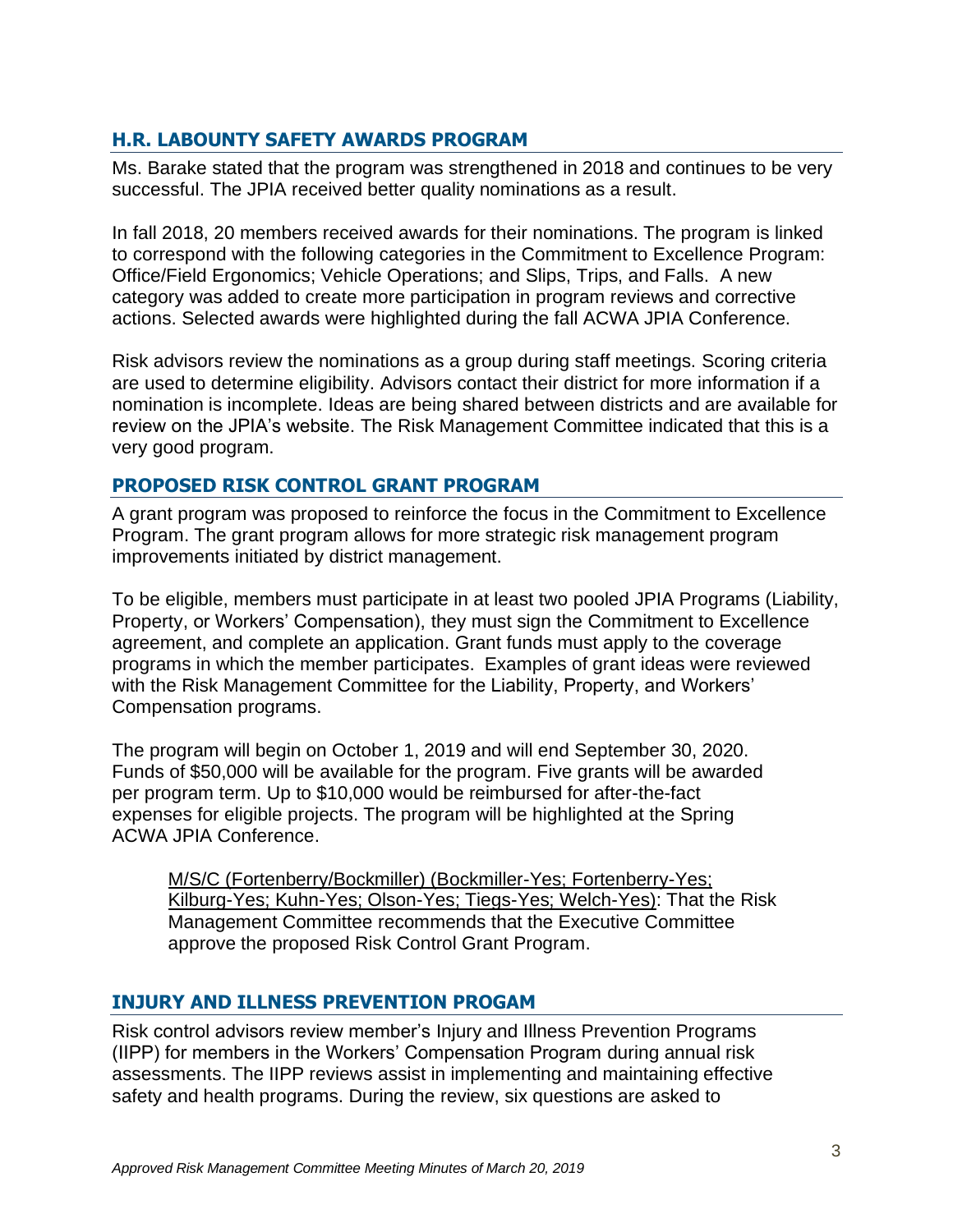# **H.R. LABOUNTY SAFETY AWARDS PROGRAM**

Ms. Barake stated that the program was strengthened in 2018 and continues to be very successful. The JPIA received better quality nominations as a result.

In fall 2018, 20 members received awards for their nominations. The program is linked to correspond with the following categories in the Commitment to Excellence Program: Office/Field Ergonomics; Vehicle Operations; and Slips, Trips, and Falls. A new category was added to create more participation in program reviews and corrective actions. Selected awards were highlighted during the fall ACWA JPIA Conference.

Risk advisors review the nominations as a group during staff meetings. Scoring criteria are used to determine eligibility. Advisors contact their district for more information if a nomination is incomplete. Ideas are being shared between districts and are available for review on the JPIA's website. The Risk Management Committee indicated that this is a very good program.

#### **PROPOSED RISK CONTROL GRANT PROGRAM**

A grant program was proposed to reinforce the focus in the Commitment to Excellence Program. The grant program allows for more strategic risk management program improvements initiated by district management.

To be eligible, members must participate in at least two pooled JPIA Programs (Liability, Property, or Workers' Compensation), they must sign the Commitment to Excellence agreement, and complete an application. Grant funds must apply to the coverage programs in which the member participates. Examples of grant ideas were reviewed with the Risk Management Committee for the Liability, Property, and Workers' Compensation programs.

The program will begin on October 1, 2019 and will end September 30, 2020. Funds of \$50,000 will be available for the program. Five grants will be awarded per program term. Up to \$10,000 would be reimbursed for after-the-fact expenses for eligible projects. The program will be highlighted at the Spring ACWA JPIA Conference.

M/S/C (Fortenberry/Bockmiller) (Bockmiller-Yes; Fortenberry-Yes; Kilburg-Yes; Kuhn-Yes; Olson-Yes; Tiegs-Yes; Welch-Yes): That the Risk Management Committee recommends that the Executive Committee approve the proposed Risk Control Grant Program.

#### **INJURY AND ILLNESS PREVENTION PROGAM**

Risk control advisors review member's Injury and Illness Prevention Programs (IIPP) for members in the Workers' Compensation Program during annual risk assessments. The IIPP reviews assist in implementing and maintaining effective safety and health programs. During the review, six questions are asked to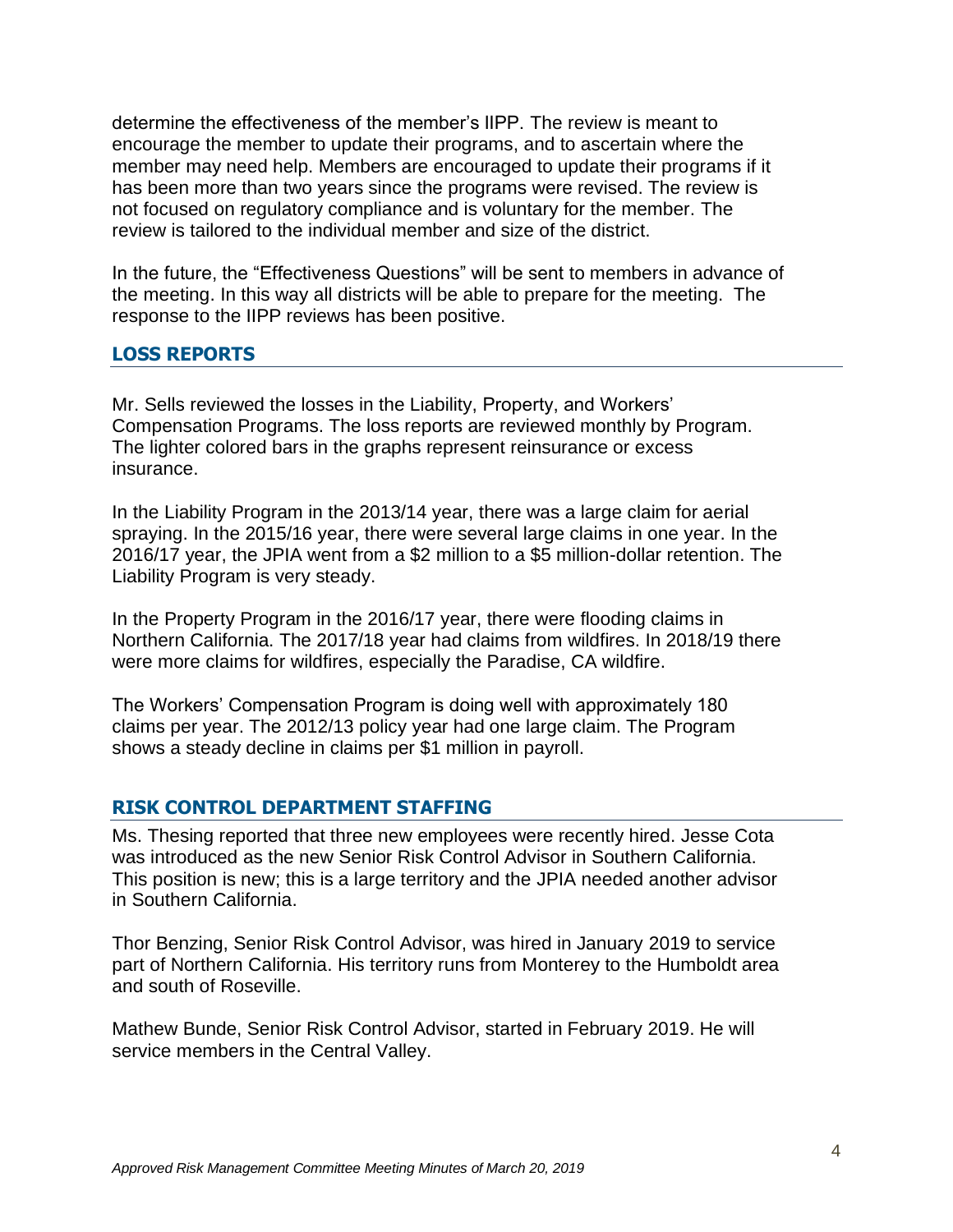determine the effectiveness of the member's IIPP. The review is meant to encourage the member to update their programs, and to ascertain where the member may need help. Members are encouraged to update their programs if it has been more than two years since the programs were revised. The review is not focused on regulatory compliance and is voluntary for the member. The review is tailored to the individual member and size of the district.

In the future, the "Effectiveness Questions" will be sent to members in advance of the meeting. In this way all districts will be able to prepare for the meeting. The response to the IIPP reviews has been positive.

#### **LOSS REPORTS**

Mr. Sells reviewed the losses in the Liability, Property, and Workers' Compensation Programs. The loss reports are reviewed monthly by Program. The lighter colored bars in the graphs represent reinsurance or excess insurance.

In the Liability Program in the 2013/14 year, there was a large claim for aerial spraying. In the 2015/16 year, there were several large claims in one year. In the 2016/17 year, the JPIA went from a \$2 million to a \$5 million-dollar retention. The Liability Program is very steady.

In the Property Program in the 2016/17 year, there were flooding claims in Northern California. The 2017/18 year had claims from wildfires. In 2018/19 there were more claims for wildfires, especially the Paradise, CA wildfire.

The Workers' Compensation Program is doing well with approximately 180 claims per year. The 2012/13 policy year had one large claim. The Program shows a steady decline in claims per \$1 million in payroll.

#### **RISK CONTROL DEPARTMENT STAFFING**

Ms. Thesing reported that three new employees were recently hired. Jesse Cota was introduced as the new Senior Risk Control Advisor in Southern California. This position is new; this is a large territory and the JPIA needed another advisor in Southern California.

Thor Benzing, Senior Risk Control Advisor, was hired in January 2019 to service part of Northern California. His territory runs from Monterey to the Humboldt area and south of Roseville.

Mathew Bunde, Senior Risk Control Advisor, started in February 2019. He will service members in the Central Valley.